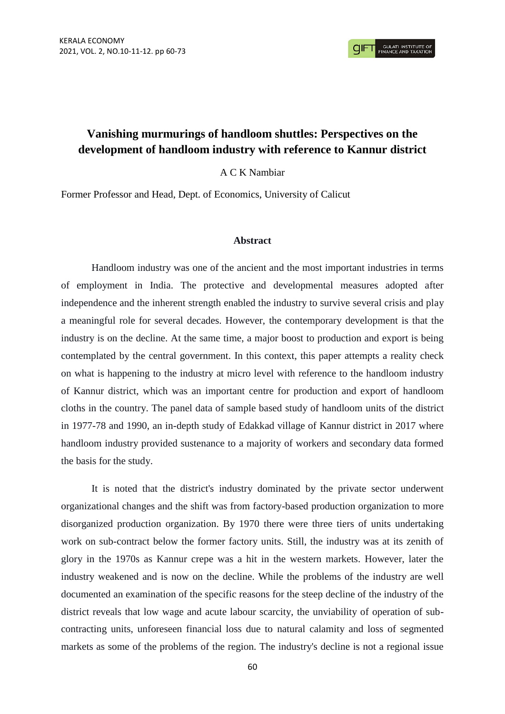# **Vanishing murmurings of handloom shuttles: Perspectives on the development of handloom industry with reference to Kannur district**

A C K Nambiar

Former Professor and Head, Dept. of Economics, University of Calicut

### **Abstract**

Handloom industry was one of the ancient and the most important industries in terms of employment in India. The protective and developmental measures adopted after independence and the inherent strength enabled the industry to survive several crisis and play a meaningful role for several decades. However, the contemporary development is that the industry is on the decline. At the same time, a major boost to production and export is being contemplated by the central government. In this context, this paper attempts a reality check on what is happening to the industry at micro level with reference to the handloom industry of Kannur district, which was an important centre for production and export of handloom cloths in the country. The panel data of sample based study of handloom units of the district in 1977-78 and 1990, an in-depth study of Edakkad village of Kannur district in 2017 where handloom industry provided sustenance to a majority of workers and secondary data formed the basis for the study.

It is noted that the district's industry dominated by the private sector underwent organizational changes and the shift was from factory-based production organization to more disorganized production organization. By 1970 there were three tiers of units undertaking work on sub-contract below the former factory units. Still, the industry was at its zenith of glory in the 1970s as Kannur crepe was a hit in the western markets. However, later the industry weakened and is now on the decline. While the problems of the industry are well documented an examination of the specific reasons for the steep decline of the industry of the district reveals that low wage and acute labour scarcity, the unviability of operation of subcontracting units, unforeseen financial loss due to natural calamity and loss of segmented markets as some of the problems of the region. The industry's decline is not a regional issue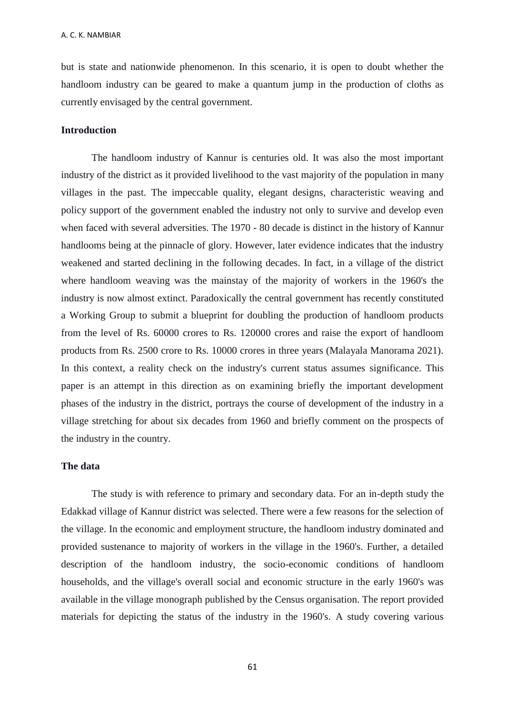but is state and nationwide phenomenon. In this scenario, it is open to doubt whether the handloom industry can be geared to make a quantum jump in the production of cloths as currently envisaged by the central government.

### **Introduction**

The handloom industry of Kannur is centuries old. It was also the most important industry of the district as it provided livelihood to the vast majority of the population in many villages in the past. The impeccable quality, elegant designs, characteristic weaving and policy support of the government enabled the industry not only to survive and develop even when faced with several adversities. The 1970 - 80 decade is distinct in the history of Kannur handlooms being at the pinnacle of glory. However, later evidence indicates that the industry weakened and started declining in the following decades. In fact, in a village of the district where handloom weaving was the mainstay of the majority of workers in the 1960's the industry is now almost extinct. Paradoxically the central government has recently constituted a Working Group to submit a blueprint for doubling the production of handloom products from the level of Rs. 60000 crores to Rs. 120000 crores and raise the export of handloom products from Rs. 2500 crore to Rs. 10000 crores in three years (Malayala Manorama 2021). In this context, a reality check on the industry's current status assumes significance. This paper is an attempt in this direction as on examining briefly the important development phases of the industry in the district, portrays the course of development of the industry in a village stretching for about six decades from 1960 and briefly comment on the prospects of the industry in the country.

#### **The data**

The study is with reference to primary and secondary data. For an in-depth study the Edakkad village of Kannur district was selected. There were a few reasons for the selection of the village. In the economic and employment structure, the handloom industry dominated and provided sustenance to majority of workers in the village in the 1960's. Further, a detailed description of the handloom industry, the socio-economic conditions of handloom households, and the village's overall social and economic structure in the early 1960's was available in the village monograph published by the Census organisation. The report provided materials for depicting the status of the industry in the 1960's. A study covering various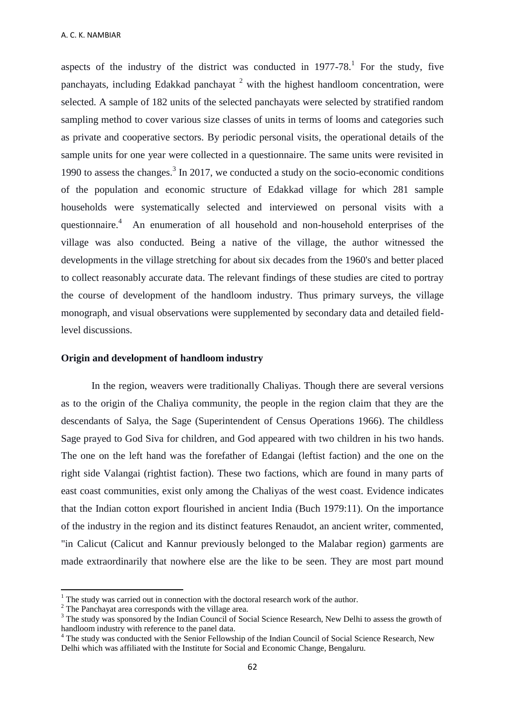aspects of the industry of the district was conducted in  $1977-78$ .<sup>1</sup> For the study, five panchayats, including Edakkad panchayat  $2$  with the highest handloom concentration, were selected. A sample of 182 units of the selected panchayats were selected by stratified random sampling method to cover various size classes of units in terms of looms and categories such as private and cooperative sectors. By periodic personal visits, the operational details of the sample units for one year were collected in a questionnaire. The same units were revisited in 1990 to assess the changes. $3 \text{ In } 2017$ , we conducted a study on the socio-economic conditions of the population and economic structure of Edakkad village for which 281 sample households were systematically selected and interviewed on personal visits with a questionnaire.<sup>4</sup> An enumeration of all household and non-household enterprises of the village was also conducted. Being a native of the village, the author witnessed the developments in the village stretching for about six decades from the 1960's and better placed to collect reasonably accurate data. The relevant findings of these studies are cited to portray the course of development of the handloom industry. Thus primary surveys, the village monograph, and visual observations were supplemented by secondary data and detailed fieldlevel discussions.

### **Origin and development of handloom industry**

In the region, weavers were traditionally Chaliyas. Though there are several versions as to the origin of the Chaliya community, the people in the region claim that they are the descendants of Salya, the Sage (Superintendent of Census Operations 1966). The childless Sage prayed to God Siva for children, and God appeared with two children in his two hands. The one on the left hand was the forefather of Edangai (leftist faction) and the one on the right side Valangai (rightist faction). These two factions, which are found in many parts of east coast communities, exist only among the Chaliyas of the west coast. Evidence indicates that the Indian cotton export flourished in ancient India (Buch 1979:11). On the importance of the industry in the region and its distinct features Renaudot, an ancient writer, commented, "in Calicut (Calicut and Kannur previously belonged to the Malabar region) garments are made extraordinarily that nowhere else are the like to be seen. They are most part mound

1

 $1$ . The study was carried out in connection with the doctoral research work of the author.

<sup>&</sup>lt;sup>2</sup> The Panchayat area corresponds with the village area.

<sup>&</sup>lt;sup>3</sup> The study was sponsored by the Indian Council of Social Science Research, New Delhi to assess the growth of handloom industry with reference to the panel data.

<sup>&</sup>lt;sup>4</sup> The study was conducted with the Senior Fellowship of the Indian Council of Social Science Research, New Delhi which was affiliated with the Institute for Social and Economic Change, Bengaluru.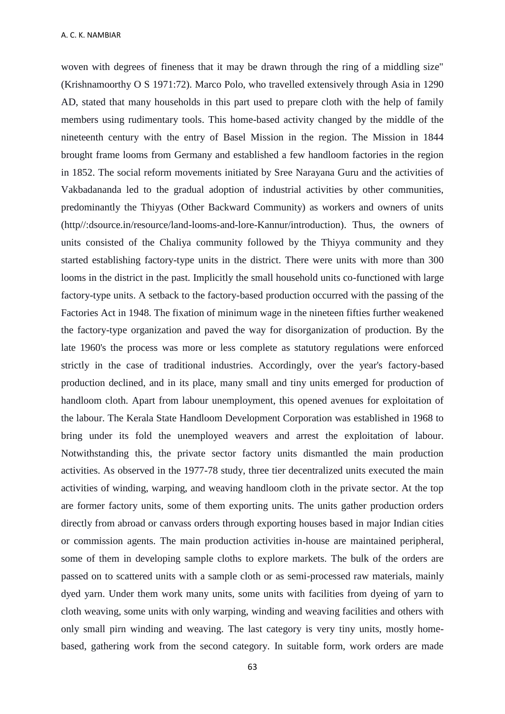woven with degrees of fineness that it may be drawn through the ring of a middling size" (Krishnamoorthy O S 1971:72). Marco Polo, who travelled extensively through Asia in 1290 AD, stated that many households in this part used to prepare cloth with the help of family members using rudimentary tools. This home-based activity changed by the middle of the nineteenth century with the entry of Basel Mission in the region. The Mission in 1844 brought frame looms from Germany and established a few handloom factories in the region in 1852. The social reform movements initiated by Sree Narayana Guru and the activities of Vakbadananda led to the gradual adoption of industrial activities by other communities, predominantly the Thiyyas (Other Backward Community) as workers and owners of units (http//:dsource.in/resource/land-looms-and-lore-Kannur/introduction). Thus, the owners of units consisted of the Chaliya community followed by the Thiyya community and they started establishing factory-type units in the district. There were units with more than 300 looms in the district in the past. Implicitly the small household units co-functioned with large factory-type units. A setback to the factory-based production occurred with the passing of the Factories Act in 1948. The fixation of minimum wage in the nineteen fifties further weakened the factory-type organization and paved the way for disorganization of production. By the late 1960's the process was more or less complete as statutory regulations were enforced strictly in the case of traditional industries. Accordingly, over the year's factory-based production declined, and in its place, many small and tiny units emerged for production of handloom cloth. Apart from labour unemployment, this opened avenues for exploitation of the labour. The Kerala State Handloom Development Corporation was established in 1968 to bring under its fold the unemployed weavers and arrest the exploitation of labour. Notwithstanding this, the private sector factory units dismantled the main production activities. As observed in the 1977-78 study, three tier decentralized units executed the main activities of winding, warping, and weaving handloom cloth in the private sector. At the top are former factory units, some of them exporting units. The units gather production orders directly from abroad or canvass orders through exporting houses based in major Indian cities or commission agents. The main production activities in-house are maintained peripheral, some of them in developing sample cloths to explore markets. The bulk of the orders are passed on to scattered units with a sample cloth or as semi-processed raw materials, mainly dyed yarn. Under them work many units, some units with facilities from dyeing of yarn to cloth weaving, some units with only warping, winding and weaving facilities and others with only small pirn winding and weaving. The last category is very tiny units, mostly homebased, gathering work from the second category. In suitable form, work orders are made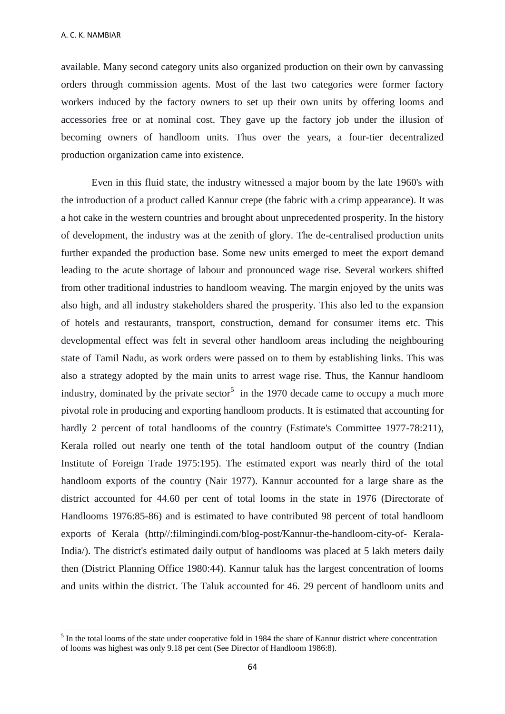available. Many second category units also organized production on their own by canvassing orders through commission agents. Most of the last two categories were former factory workers induced by the factory owners to set up their own units by offering looms and accessories free or at nominal cost. They gave up the factory job under the illusion of becoming owners of handloom units. Thus over the years, a four-tier decentralized production organization came into existence.

Even in this fluid state, the industry witnessed a major boom by the late 1960's with the introduction of a product called Kannur crepe (the fabric with a crimp appearance). It was a hot cake in the western countries and brought about unprecedented prosperity. In the history of development, the industry was at the zenith of glory. The de-centralised production units further expanded the production base. Some new units emerged to meet the export demand leading to the acute shortage of labour and pronounced wage rise. Several workers shifted from other traditional industries to handloom weaving. The margin enjoyed by the units was also high, and all industry stakeholders shared the prosperity. This also led to the expansion of hotels and restaurants, transport, construction, demand for consumer items etc. This developmental effect was felt in several other handloom areas including the neighbouring state of Tamil Nadu, as work orders were passed on to them by establishing links. This was also a strategy adopted by the main units to arrest wage rise. Thus, the Kannur handloom industry, dominated by the private sector<sup>5</sup> in the 1970 decade came to occupy a much more pivotal role in producing and exporting handloom products. It is estimated that accounting for hardly 2 percent of total handlooms of the country (Estimate's Committee 1977-78:211), Kerala rolled out nearly one tenth of the total handloom output of the country (Indian Institute of Foreign Trade 1975:195). The estimated export was nearly third of the total handloom exports of the country (Nair 1977). Kannur accounted for a large share as the district accounted for 44.60 per cent of total looms in the state in 1976 (Directorate of Handlooms 1976:85-86) and is estimated to have contributed 98 percent of total handloom exports of Kerala (http//:filmingindi.com/blog-post/Kannur-the-handloom-city-of- Kerala-India/). The district's estimated daily output of handlooms was placed at 5 lakh meters daily then (District Planning Office 1980:44). Kannur taluk has the largest concentration of looms and units within the district. The Taluk accounted for 46. 29 percent of handloom units and

<sup>&</sup>lt;sup>5</sup> In the total looms of the state under cooperative fold in 1984 the share of Kannur district where concentration of looms was highest was only 9.18 per cent (See Director of Handloom 1986:8).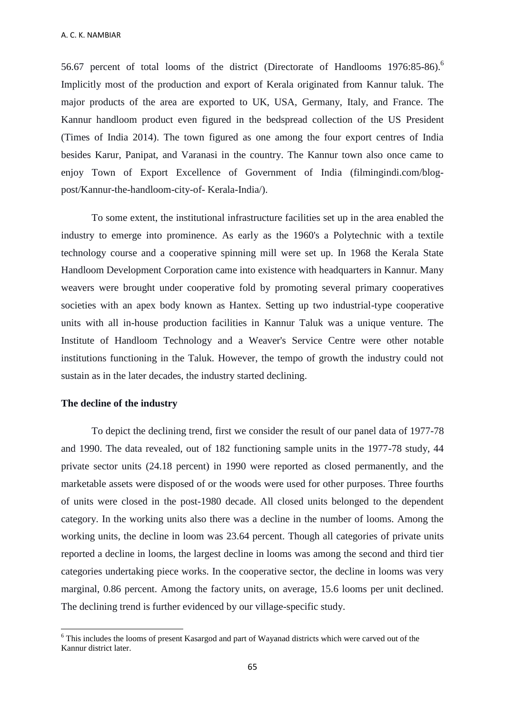56.67 percent of total looms of the district (Directorate of Handlooms 1976:85-86).<sup>6</sup> Implicitly most of the production and export of Kerala originated from Kannur taluk. The major products of the area are exported to UK, USA, Germany, Italy, and France. The Kannur handloom product even figured in the bedspread collection of the US President (Times of India 2014). The town figured as one among the four export centres of India besides Karur, Panipat, and Varanasi in the country. The Kannur town also once came to enjoy Town of Export Excellence of Government of India (filmingindi.com/blogpost/Kannur-the-handloom-city-of- Kerala-India/).

To some extent, the institutional infrastructure facilities set up in the area enabled the industry to emerge into prominence. As early as the 1960's a Polytechnic with a textile technology course and a cooperative spinning mill were set up. In 1968 the Kerala State Handloom Development Corporation came into existence with headquarters in Kannur. Many weavers were brought under cooperative fold by promoting several primary cooperatives societies with an apex body known as Hantex. Setting up two industrial-type cooperative units with all in-house production facilities in Kannur Taluk was a unique venture. The Institute of Handloom Technology and a Weaver's Service Centre were other notable institutions functioning in the Taluk. However, the tempo of growth the industry could not sustain as in the later decades, the industry started declining.

# **The decline of the industry**

1

To depict the declining trend, first we consider the result of our panel data of 1977-78 and 1990. The data revealed, out of 182 functioning sample units in the 1977-78 study, 44 private sector units (24.18 percent) in 1990 were reported as closed permanently, and the marketable assets were disposed of or the woods were used for other purposes. Three fourths of units were closed in the post-1980 decade. All closed units belonged to the dependent category. In the working units also there was a decline in the number of looms. Among the working units, the decline in loom was 23.64 percent. Though all categories of private units reported a decline in looms, the largest decline in looms was among the second and third tier categories undertaking piece works. In the cooperative sector, the decline in looms was very marginal, 0.86 percent. Among the factory units, on average, 15.6 looms per unit declined. The declining trend is further evidenced by our village-specific study.

<sup>&</sup>lt;sup>6</sup> This includes the looms of present Kasargod and part of Wayanad districts which were carved out of the Kannur district later.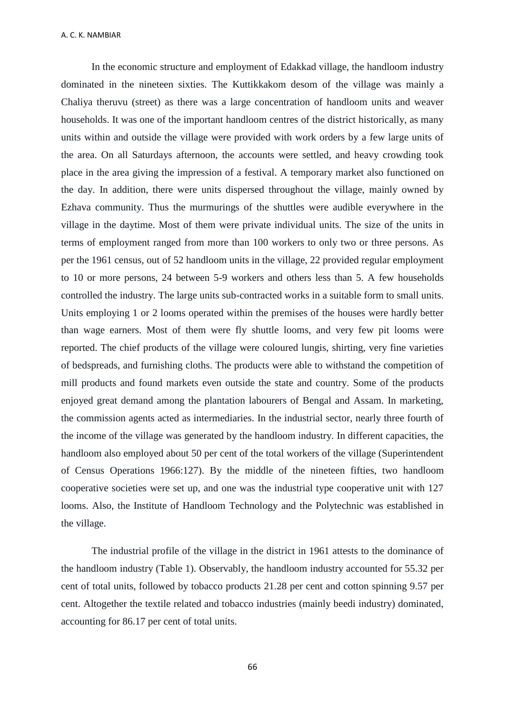In the economic structure and employment of Edakkad village, the handloom industry dominated in the nineteen sixties. The Kuttikkakom desom of the village was mainly a Chaliya theruvu (street) as there was a large concentration of handloom units and weaver households. It was one of the important handloom centres of the district historically, as many units within and outside the village were provided with work orders by a few large units of the area. On all Saturdays afternoon, the accounts were settled, and heavy crowding took place in the area giving the impression of a festival. A temporary market also functioned on the day. In addition, there were units dispersed throughout the village, mainly owned by Ezhava community. Thus the murmurings of the shuttles were audible everywhere in the village in the daytime. Most of them were private individual units. The size of the units in terms of employment ranged from more than 100 workers to only two or three persons. As per the 1961 census, out of 52 handloom units in the village, 22 provided regular employment to 10 or more persons, 24 between 5-9 workers and others less than 5. A few households controlled the industry. The large units sub-contracted works in a suitable form to small units. Units employing 1 or 2 looms operated within the premises of the houses were hardly better than wage earners. Most of them were fly shuttle looms, and very few pit looms were reported. The chief products of the village were coloured lungis, shirting, very fine varieties of bedspreads, and furnishing cloths. The products were able to withstand the competition of mill products and found markets even outside the state and country. Some of the products enjoyed great demand among the plantation labourers of Bengal and Assam. In marketing, the commission agents acted as intermediaries. In the industrial sector, nearly three fourth of the income of the village was generated by the handloom industry. In different capacities, the handloom also employed about 50 per cent of the total workers of the village (Superintendent of Census Operations 1966:127). By the middle of the nineteen fifties, two handloom cooperative societies were set up, and one was the industrial type cooperative unit with 127 looms. Also, the Institute of Handloom Technology and the Polytechnic was established in the village.

The industrial profile of the village in the district in 1961 attests to the dominance of the handloom industry (Table 1). Observably, the handloom industry accounted for 55.32 per cent of total units, followed by tobacco products 21.28 per cent and cotton spinning 9.57 per cent. Altogether the textile related and tobacco industries (mainly beedi industry) dominated, accounting for 86.17 per cent of total units.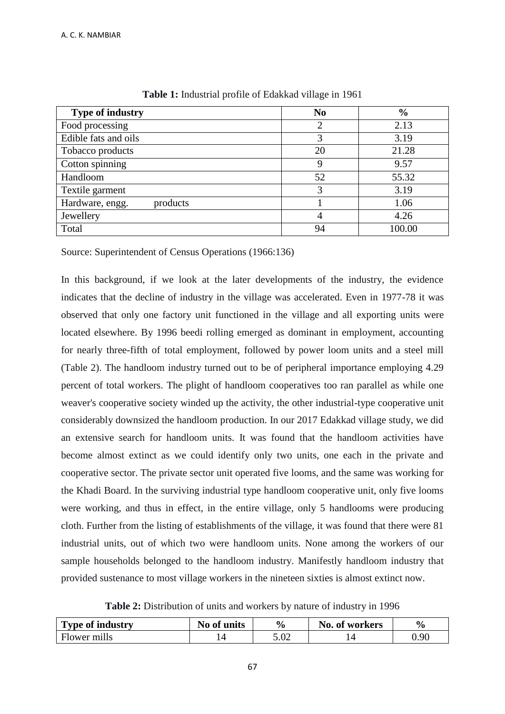| <b>Type of industry</b>     | N <sub>0</sub> | $\frac{6}{9}$ |
|-----------------------------|----------------|---------------|
| Food processing             | 2              | 2.13          |
| Edible fats and oils        | 3              | 3.19          |
| Tobacco products            | 20             | 21.28         |
| Cotton spinning             | 9              | 9.57          |
| Handloom                    | 52             | 55.32         |
| Textile garment             | 3              | 3.19          |
| Hardware, engg.<br>products |                | 1.06          |
| Jewellery                   | $\overline{4}$ | 4.26          |
| Total                       | 94             | 100.00        |

**Table 1:** Industrial profile of Edakkad village in 1961

Source: Superintendent of Census Operations (1966:136)

In this background, if we look at the later developments of the industry, the evidence indicates that the decline of industry in the village was accelerated. Even in 1977-78 it was observed that only one factory unit functioned in the village and all exporting units were located elsewhere. By 1996 beedi rolling emerged as dominant in employment, accounting for nearly three-fifth of total employment, followed by power loom units and a steel mill (Table 2). The handloom industry turned out to be of peripheral importance employing 4.29 percent of total workers. The plight of handloom cooperatives too ran parallel as while one weaver's cooperative society winded up the activity, the other industrial-type cooperative unit considerably downsized the handloom production. In our 2017 Edakkad village study, we did an extensive search for handloom units. It was found that the handloom activities have become almost extinct as we could identify only two units, one each in the private and cooperative sector. The private sector unit operated five looms, and the same was working for the Khadi Board. In the surviving industrial type handloom cooperative unit, only five looms were working, and thus in effect, in the entire village, only 5 handlooms were producing cloth. Further from the listing of establishments of the village, it was found that there were 81 industrial units, out of which two were handloom units. None among the workers of our sample households belonged to the handloom industry. Manifestly handloom industry that provided sustenance to most village workers in the nineteen sixties is almost extinct now.

**Table 2:** Distribution of units and workers by nature of industry in 1996

| <b>Type of industry</b> | No of units | $\frac{0}{0}$ | No. of workers | $\frac{6}{9}$ |
|-------------------------|-------------|---------------|----------------|---------------|
| Flower mills            |             | 5.02          |                | 0.90          |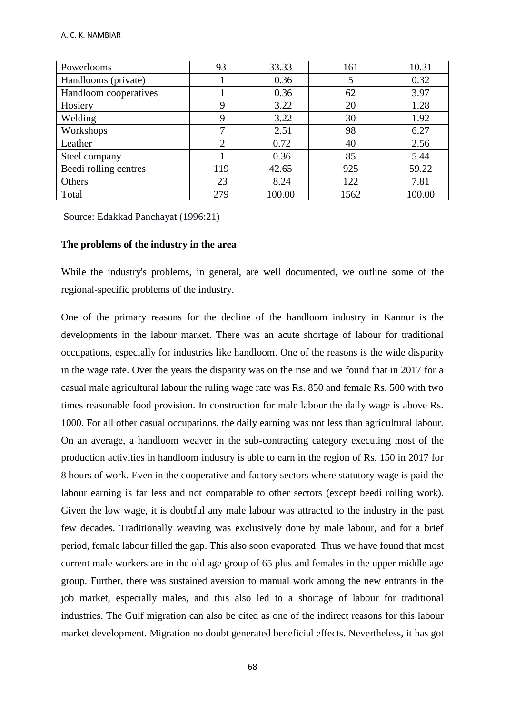| Powerlooms            | 93             | 33.33  | 161  | 10.31  |
|-----------------------|----------------|--------|------|--------|
| Handlooms (private)   |                | 0.36   |      | 0.32   |
| Handloom cooperatives |                | 0.36   | 62   | 3.97   |
| Hosiery               | 9              | 3.22   | 20   | 1.28   |
| Welding               | 9              | 3.22   | 30   | 1.92   |
| Workshops             |                | 2.51   | 98   | 6.27   |
| Leather               | $\overline{2}$ | 0.72   | 40   | 2.56   |
| Steel company         |                | 0.36   | 85   | 5.44   |
| Beedi rolling centres | 119            | 42.65  | 925  | 59.22  |
| Others                | 23             | 8.24   | 122  | 7.81   |
| Total                 | 279            | 100.00 | 1562 | 100.00 |

Source: Edakkad Panchayat (1996:21)

# **The problems of the industry in the area**

While the industry's problems, in general, are well documented, we outline some of the regional-specific problems of the industry.

One of the primary reasons for the decline of the handloom industry in Kannur is the developments in the labour market. There was an acute shortage of labour for traditional occupations, especially for industries like handloom. One of the reasons is the wide disparity in the wage rate. Over the years the disparity was on the rise and we found that in 2017 for a casual male agricultural labour the ruling wage rate was Rs. 850 and female Rs. 500 with two times reasonable food provision. In construction for male labour the daily wage is above Rs. 1000. For all other casual occupations, the daily earning was not less than agricultural labour. On an average, a handloom weaver in the sub-contracting category executing most of the production activities in handloom industry is able to earn in the region of Rs. 150 in 2017 for 8 hours of work. Even in the cooperative and factory sectors where statutory wage is paid the labour earning is far less and not comparable to other sectors (except beedi rolling work). Given the low wage, it is doubtful any male labour was attracted to the industry in the past few decades. Traditionally weaving was exclusively done by male labour, and for a brief period, female labour filled the gap. This also soon evaporated. Thus we have found that most current male workers are in the old age group of 65 plus and females in the upper middle age group. Further, there was sustained aversion to manual work among the new entrants in the job market, especially males, and this also led to a shortage of labour for traditional industries. The Gulf migration can also be cited as one of the indirect reasons for this labour market development. Migration no doubt generated beneficial effects. Nevertheless, it has got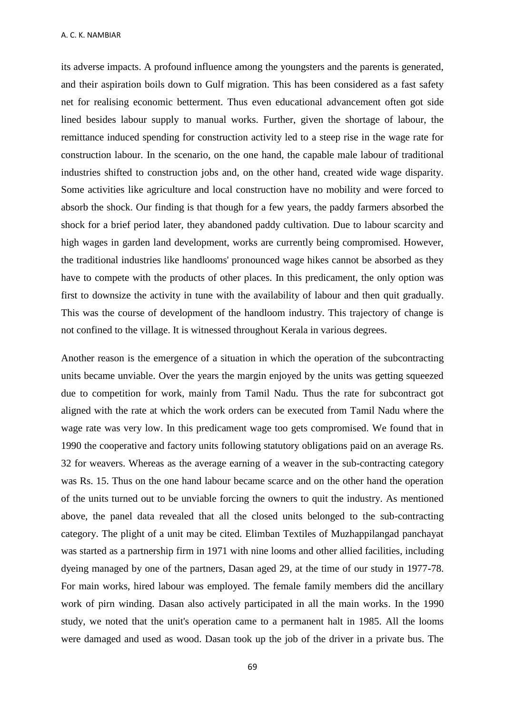its adverse impacts. A profound influence among the youngsters and the parents is generated, and their aspiration boils down to Gulf migration. This has been considered as a fast safety net for realising economic betterment. Thus even educational advancement often got side lined besides labour supply to manual works. Further, given the shortage of labour, the remittance induced spending for construction activity led to a steep rise in the wage rate for construction labour. In the scenario, on the one hand, the capable male labour of traditional industries shifted to construction jobs and, on the other hand, created wide wage disparity. Some activities like agriculture and local construction have no mobility and were forced to absorb the shock. Our finding is that though for a few years, the paddy farmers absorbed the shock for a brief period later, they abandoned paddy cultivation. Due to labour scarcity and high wages in garden land development, works are currently being compromised. However, the traditional industries like handlooms' pronounced wage hikes cannot be absorbed as they have to compete with the products of other places. In this predicament, the only option was first to downsize the activity in tune with the availability of labour and then quit gradually. This was the course of development of the handloom industry. This trajectory of change is not confined to the village. It is witnessed throughout Kerala in various degrees.

Another reason is the emergence of a situation in which the operation of the subcontracting units became unviable. Over the years the margin enjoyed by the units was getting squeezed due to competition for work, mainly from Tamil Nadu. Thus the rate for subcontract got aligned with the rate at which the work orders can be executed from Tamil Nadu where the wage rate was very low. In this predicament wage too gets compromised. We found that in 1990 the cooperative and factory units following statutory obligations paid on an average Rs. 32 for weavers. Whereas as the average earning of a weaver in the sub-contracting category was Rs. 15. Thus on the one hand labour became scarce and on the other hand the operation of the units turned out to be unviable forcing the owners to quit the industry. As mentioned above, the panel data revealed that all the closed units belonged to the sub-contracting category. The plight of a unit may be cited. Elimban Textiles of Muzhappilangad panchayat was started as a partnership firm in 1971 with nine looms and other allied facilities, including dyeing managed by one of the partners, Dasan aged 29, at the time of our study in 1977-78. For main works, hired labour was employed. The female family members did the ancillary work of pirn winding. Dasan also actively participated in all the main works. In the 1990 study, we noted that the unit's operation came to a permanent halt in 1985. All the looms were damaged and used as wood. Dasan took up the job of the driver in a private bus. The

69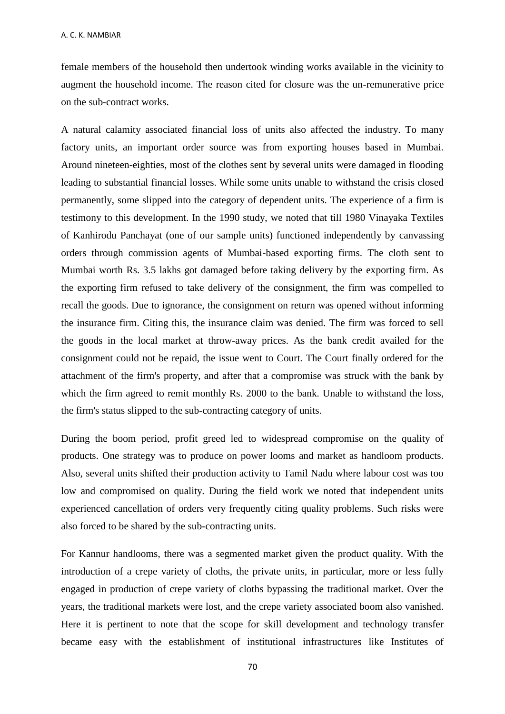female members of the household then undertook winding works available in the vicinity to augment the household income. The reason cited for closure was the un-remunerative price on the sub-contract works.

A natural calamity associated financial loss of units also affected the industry. To many factory units, an important order source was from exporting houses based in Mumbai. Around nineteen-eighties, most of the clothes sent by several units were damaged in flooding leading to substantial financial losses. While some units unable to withstand the crisis closed permanently, some slipped into the category of dependent units. The experience of a firm is testimony to this development. In the 1990 study, we noted that till 1980 Vinayaka Textiles of Kanhirodu Panchayat (one of our sample units) functioned independently by canvassing orders through commission agents of Mumbai-based exporting firms. The cloth sent to Mumbai worth Rs. 3.5 lakhs got damaged before taking delivery by the exporting firm. As the exporting firm refused to take delivery of the consignment, the firm was compelled to recall the goods. Due to ignorance, the consignment on return was opened without informing the insurance firm. Citing this, the insurance claim was denied. The firm was forced to sell the goods in the local market at throw-away prices. As the bank credit availed for the consignment could not be repaid, the issue went to Court. The Court finally ordered for the attachment of the firm's property, and after that a compromise was struck with the bank by which the firm agreed to remit monthly Rs. 2000 to the bank. Unable to withstand the loss, the firm's status slipped to the sub-contracting category of units.

During the boom period, profit greed led to widespread compromise on the quality of products. One strategy was to produce on power looms and market as handloom products. Also, several units shifted their production activity to Tamil Nadu where labour cost was too low and compromised on quality. During the field work we noted that independent units experienced cancellation of orders very frequently citing quality problems. Such risks were also forced to be shared by the sub-contracting units.

For Kannur handlooms, there was a segmented market given the product quality. With the introduction of a crepe variety of cloths, the private units, in particular, more or less fully engaged in production of crepe variety of cloths bypassing the traditional market. Over the years, the traditional markets were lost, and the crepe variety associated boom also vanished. Here it is pertinent to note that the scope for skill development and technology transfer became easy with the establishment of institutional infrastructures like Institutes of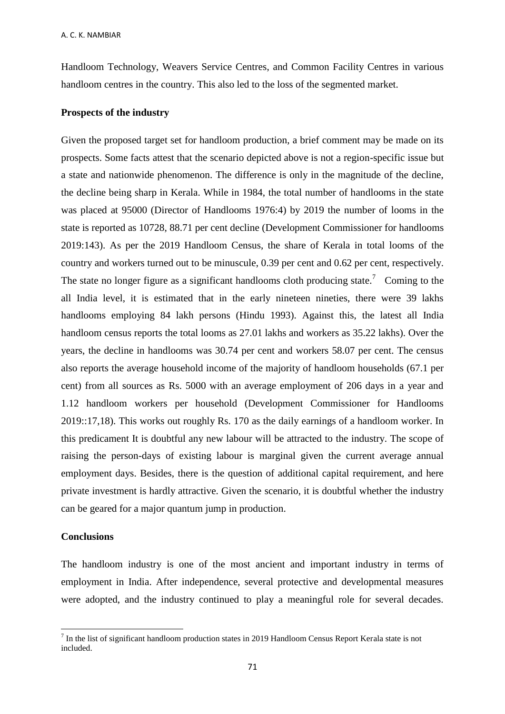Handloom Technology, Weavers Service Centres, and Common Facility Centres in various handloom centres in the country. This also led to the loss of the segmented market.

### **Prospects of the industry**

Given the proposed target set for handloom production, a brief comment may be made on its prospects. Some facts attest that the scenario depicted above is not a region-specific issue but a state and nationwide phenomenon. The difference is only in the magnitude of the decline, the decline being sharp in Kerala. While in 1984, the total number of handlooms in the state was placed at 95000 (Director of Handlooms 1976:4) by 2019 the number of looms in the state is reported as 10728, 88.71 per cent decline (Development Commissioner for handlooms 2019:143). As per the 2019 Handloom Census, the share of Kerala in total looms of the country and workers turned out to be minuscule, 0.39 per cent and 0.62 per cent, respectively. The state no longer figure as a significant handlooms cloth producing state.<sup>7</sup> Coming to the all India level, it is estimated that in the early nineteen nineties, there were 39 lakhs handlooms employing 84 lakh persons (Hindu 1993). Against this, the latest all India handloom census reports the total looms as 27.01 lakhs and workers as 35.22 lakhs). Over the years, the decline in handlooms was 30.74 per cent and workers 58.07 per cent. The census also reports the average household income of the majority of handloom households (67.1 per cent) from all sources as Rs. 5000 with an average employment of 206 days in a year and 1.12 handloom workers per household (Development Commissioner for Handlooms 2019::17,18). This works out roughly Rs. 170 as the daily earnings of a handloom worker. In this predicament It is doubtful any new labour will be attracted to the industry. The scope of raising the person-days of existing labour is marginal given the current average annual employment days. Besides, there is the question of additional capital requirement, and here private investment is hardly attractive. Given the scenario, it is doubtful whether the industry can be geared for a major quantum jump in production.

## **Conclusions**

1

The handloom industry is one of the most ancient and important industry in terms of employment in India. After independence, several protective and developmental measures were adopted, and the industry continued to play a meaningful role for several decades.

 $<sup>7</sup>$  In the list of significant handloom production states in 2019 Handloom Census Report Kerala state is not</sup> included.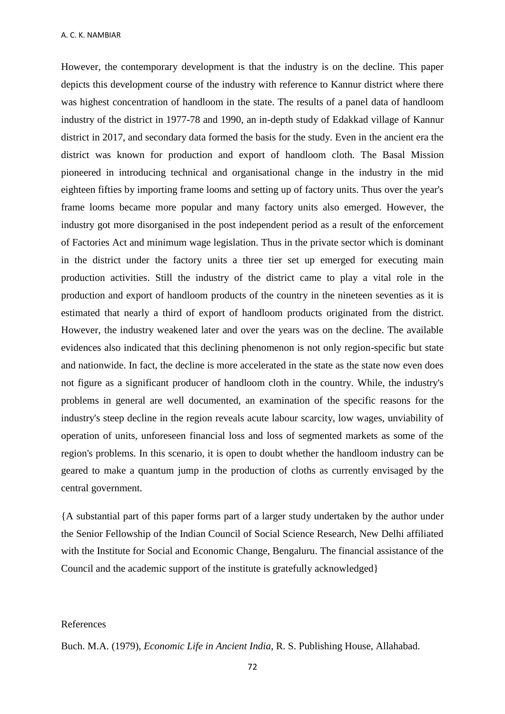However, the contemporary development is that the industry is on the decline. This paper depicts this development course of the industry with reference to Kannur district where there was highest concentration of handloom in the state. The results of a panel data of handloom industry of the district in 1977-78 and 1990, an in-depth study of Edakkad village of Kannur district in 2017, and secondary data formed the basis for the study. Even in the ancient era the district was known for production and export of handloom cloth. The Basal Mission pioneered in introducing technical and organisational change in the industry in the mid eighteen fifties by importing frame looms and setting up of factory units. Thus over the year's frame looms became more popular and many factory units also emerged. However, the industry got more disorganised in the post independent period as a result of the enforcement of Factories Act and minimum wage legislation. Thus in the private sector which is dominant in the district under the factory units a three tier set up emerged for executing main production activities. Still the industry of the district came to play a vital role in the production and export of handloom products of the country in the nineteen seventies as it is estimated that nearly a third of export of handloom products originated from the district. However, the industry weakened later and over the years was on the decline. The available evidences also indicated that this declining phenomenon is not only region-specific but state and nationwide. In fact, the decline is more accelerated in the state as the state now even does not figure as a significant producer of handloom cloth in the country. While, the industry's problems in general are well documented, an examination of the specific reasons for the industry's steep decline in the region reveals acute labour scarcity, low wages, unviability of operation of units, unforeseen financial loss and loss of segmented markets as some of the region's problems. In this scenario, it is open to doubt whether the handloom industry can be geared to make a quantum jump in the production of cloths as currently envisaged by the central government.

{A substantial part of this paper forms part of a larger study undertaken by the author under the Senior Fellowship of the Indian Council of Social Science Research, New Delhi affiliated with the Institute for Social and Economic Change, Bengaluru. The financial assistance of the Council and the academic support of the institute is gratefully acknowledged}

#### References

Buch. M.A. (1979), *Economic Life in Ancient India*, R. S. Publishing House, Allahabad.